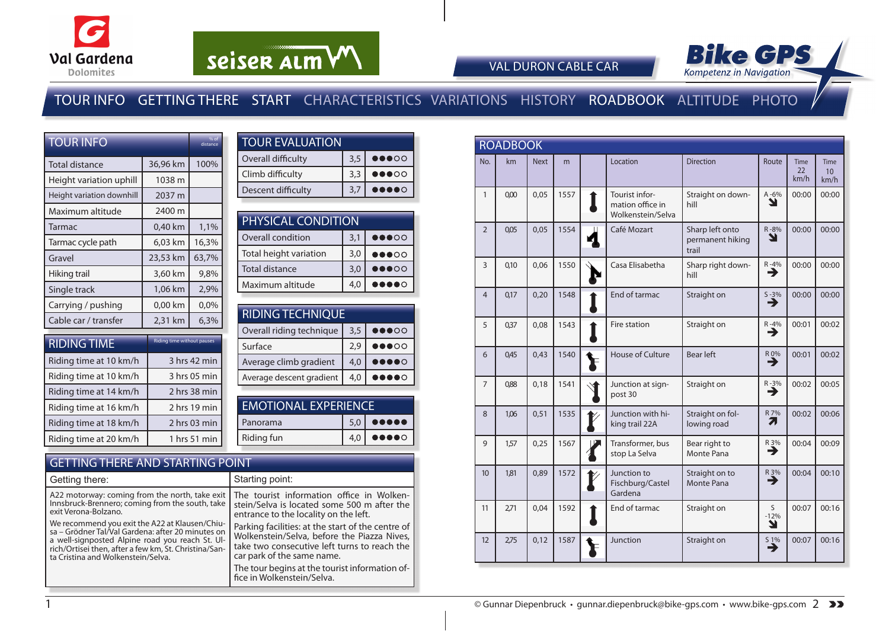



VAL DURON CABLE CAR

### TOUR INFO GETTING THERE START CHARACTERISTICS VARIATIONS HISTORY ROADBOOK ALTITUDE PHOTO

| <b>TOUR INFO</b>          |                            | % of<br>distance |
|---------------------------|----------------------------|------------------|
| Total distance            | 36,96 km                   | 100%             |
| Height variation uphill   | 1038 m                     |                  |
| Height variation downhill | 2037 m                     |                  |
| Maximum altitude          | 2400 m                     |                  |
| Tarmac                    | 0,40 km                    | 1,1%             |
| Tarmac cycle path         | 6,03 km                    | 16,3%            |
| Gravel                    | 23,53 km                   | 63,7%            |
| Hiking trail              | 3,60 km                    | 9,8%             |
| Single track              | 1,06 km                    | 2,9%             |
| Carrying / pushing        | 0,00 km                    | 0,0%             |
| Cable car / transfer      | 2,31 km                    | 6,3%             |
| <b>DIDINIC TIME</b>       | Riding time without pauses |                  |

| <b>RIDING TIME</b>     | Riding time without pauses |
|------------------------|----------------------------|
| Riding time at 10 km/h | 3 hrs 42 min               |
| Riding time at 10 km/h | 3 hrs 05 min               |
| Riding time at 14 km/h | 2 hrs 38 min               |
| Riding time at 16 km/h | 2 hrs 19 min               |
| Riding time at 18 km/h | 2 hrs 03 min               |
| Riding time at 20 km/h | 1 hrs 51 min               |

| <b>TOUR EVALUATION</b> |     |                                   |  |  |  |  |  |  |
|------------------------|-----|-----------------------------------|--|--|--|--|--|--|
| Overall difficulty     | 3,5 | $\bullet\bullet\bullet\circ\circ$ |  |  |  |  |  |  |
| Climb difficulty       | 3,3 | $\bullet\bullet\bullet\circ\circ$ |  |  |  |  |  |  |
| Descent difficulty     | 3.7 | 00000                             |  |  |  |  |  |  |

| <b>PHYSICAL CONDITION</b> |                                 |                                   |  |  |  |  |  |
|---------------------------|---------------------------------|-----------------------------------|--|--|--|--|--|
| Overall condition         | $\bullet\bullet\circ\circ\circ$ |                                   |  |  |  |  |  |
| Total height variation    | 3,0                             | $\bullet\bullet\bullet\circ\circ$ |  |  |  |  |  |
| <b>Total distance</b>     | 3,0                             | $\bullet\bullet\bullet\circ\circ$ |  |  |  |  |  |
| Maximum altitude          | 4,0                             | $\bullet\bullet\bullet\circ$      |  |  |  |  |  |

| <b>RIDING TECHNIQUE</b>  |     |                                   |  |  |  |  |  |  |
|--------------------------|-----|-----------------------------------|--|--|--|--|--|--|
| Overall riding technique | 3,5 | $\bullet\bullet\bullet\circ\circ$ |  |  |  |  |  |  |
| Surface                  | 2.9 | $\bullet\bullet\bullet\circ\circ$ |  |  |  |  |  |  |
| Average climb gradient   | 4,0 | $\bullet \circ$                   |  |  |  |  |  |  |
| Average descent gradient | 4,0 | $\bullet\bullet\bullet\circ$      |  |  |  |  |  |  |
|                          |     |                                   |  |  |  |  |  |  |

| <b>EMOTIONAL EXPERIENCE</b> |     |                                                                        |  |  |  |
|-----------------------------|-----|------------------------------------------------------------------------|--|--|--|
| Panorama                    |     | $5,0$ 00000                                                            |  |  |  |
| <b>Riding fun</b>           | 4.0 | $\begin{array}{cc} \bullet\bullet\bullet\bullet\circ\circ \end{array}$ |  |  |  |
|                             |     |                                                                        |  |  |  |

#### GETTING THERE AND STARTING POINT

| Getting there:                                                                                                                                                                                                                                        | Starting point:                                                                                                                                                                |
|-------------------------------------------------------------------------------------------------------------------------------------------------------------------------------------------------------------------------------------------------------|--------------------------------------------------------------------------------------------------------------------------------------------------------------------------------|
| A22 motorway: coming from the north, take exit<br>Innsbruck-Brennero; coming from the south, take<br>exit Verona-Bolzano.                                                                                                                             | The tourist information office in Wolken-<br>stein/Selva is located some 500 m after the<br>entrance to the locality on the left.                                              |
| We recommend you exit the A22 at Klausen/Chiu-<br>sa – Grödner Tal/Val Gardena: after 20 minutes on<br>a well-signposted Alpine road you reach St. Ul-<br>rich/Ortisei then, after a few km, St. Christina/San-<br>ta Cristina and Wolkenstein/Selva. | Parking facilities: at the start of the centre of<br>Wolkenstein/Selva, before the Piazza Nives,<br>take two consecutive left turns to reach the<br>car park of the same name. |
|                                                                                                                                                                                                                                                       | The tour begins at the tourist information of-<br>fice in Wolkenstein/Selva.                                                                                                   |

|                  | <b>ROADBOOK</b> |             |      |  |                                                         |                                              |                  |                           |                           |
|------------------|-----------------|-------------|------|--|---------------------------------------------------------|----------------------------------------------|------------------|---------------------------|---------------------------|
| No.              | km              | <b>Next</b> | m    |  | Location                                                | <b>Direction</b>                             | Route            | <b>Time</b><br>22<br>km/h | <b>Time</b><br>10<br>km/h |
| $\mathbf{1}$     | 0,00            | 0,05        | 1557 |  | Tourist infor-<br>mation office in<br>Wolkenstein/Selva | Straight on down-<br>hill                    | $A - 6%$<br>Y    | 00:00                     | 00:00                     |
| $\overline{2}$   | 0,05            | 0,05        | 1554 |  | Café Mozart                                             | Sharp left onto<br>permanent hiking<br>trail | R-8%<br>N        | 00:00                     | 00:00                     |
| $\overline{3}$   | 0,10            | 0,06        | 1550 |  | Casa Elisabetha                                         | Sharp right down-<br>hill                    | $R - 4%$<br>→    | 00:00                     | 00:00                     |
| $\overline{4}$   | 0,17            | 0,20        | 1548 |  | End of tarmac                                           | Straight on                                  | $S - 3\%$<br>→   | 00:00                     | 00:00                     |
| 5                | 0,37            | 0.08        | 1543 |  | Fire station                                            | Straight on                                  | $R - 4\%$        | 00:01                     | 00:02                     |
| 6                | 0,45            | 0,43        | 1540 |  | <b>House of Culture</b>                                 | <b>Bear left</b>                             | $R_{0\%}$        | 00:01                     | 00:02                     |
| $\overline{7}$   | 0,88            | 0,18        | 1541 |  | Junction at sign-<br>post 30                            | Straight on                                  | $R - 3%$<br>→    | 00:02                     | 00:05                     |
| 8                | 1,06            | 0,51        | 1535 |  | Junction with hi-<br>king trail 22A                     | Straight on fol-<br>lowing road              | R 7%<br>71       | 00:02                     | 00:06                     |
| 9                | 1,57            | 0,25        | 1567 |  | Transformer, bus<br>stop La Selva                       | Bear right to<br>Monte Pana                  | R 3%<br>→        | 00:04                     | 00:09                     |
| 10 <sup>10</sup> | 181             | 0,89        | 1572 |  | Junction to<br>Fischburg/Castel<br>Gardena              | Straight on to<br>Monte Pana                 | R 3%<br>→        | 00:04                     | 00:10                     |
| 11               | 2,71            | 0,04        | 1592 |  | End of tarmac                                           | Straight on                                  | S<br>$-12%$<br>Y | 00:07                     | 00:16                     |
| 12               | 2,75            | 0,12        | 1587 |  | Junction                                                | Straight on                                  | S 1%<br>→        | 00:07                     | 00:16                     |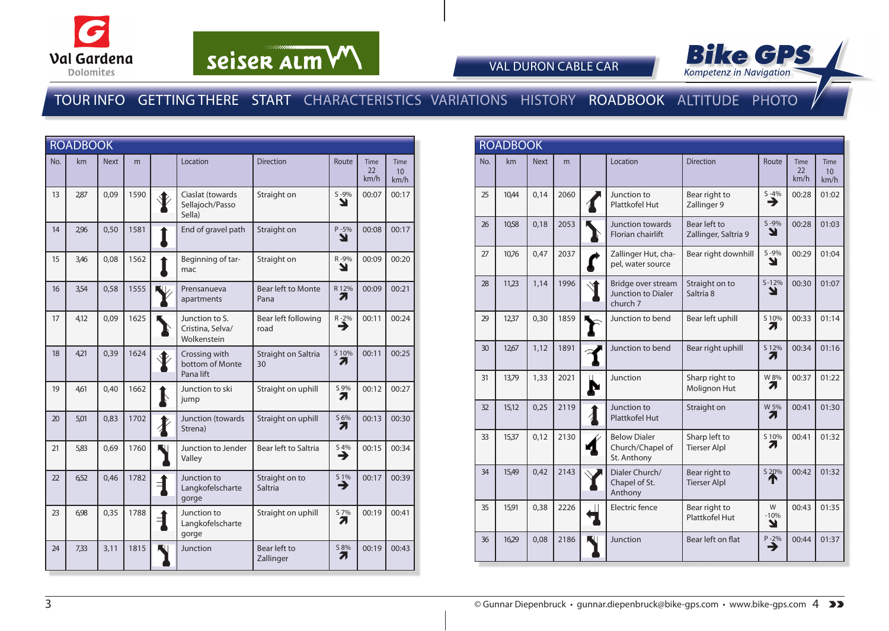



VAL DURON CABLE CAR

#### TOUR INFO GETTING THERE START CHARACTERISTICS VARIATIONS HISTORY ROADBOOK ALTITUDE PHOTO

|     | <b>ROADBOOK</b> |             |      |                 |                                                   |                             |                               |                           |                                        |
|-----|-----------------|-------------|------|-----------------|---------------------------------------------------|-----------------------------|-------------------------------|---------------------------|----------------------------------------|
| No. | km              | <b>Next</b> | m    |                 | Location                                          | <b>Direction</b>            | Route                         | <b>Time</b><br>22<br>km/h | <b>Time</b><br>10 <sup>°</sup><br>km/h |
| 13  | 2,87            | 0,09        | 1590 |                 | Ciaslat (towards<br>Sellajoch/Passo<br>Sella)     | Straight on                 | $S - 9%$<br>צ                 | 00:07                     | 00:17                                  |
| 14  | 2,96            | 0,50        | 1581 |                 | End of gravel path                                | Straight on                 | $P - 5%$<br>Y                 | 00:08                     | 00:17                                  |
| 15  | 3,46            | 0,08        | 1562 |                 | Beginning of tar-<br>mac                          | Straight on                 | R-9%<br>Y                     | 00:09                     | 00:20                                  |
| 16  | 3,54            | 0,58        | 1555 |                 | Prensanueva<br>apartments                         | Bear left to Monte<br>Pana  | R 12%<br>71                   | 00:09                     | 00:21                                  |
| 17  | 4,12            | 0,09        | 1625 |                 | Junction to S.<br>Cristina, Selva/<br>Wolkenstein | Bear left following<br>road | $R - 2\%$                     | 00:11                     | 00:24                                  |
| 18  | 4,21            | 0,39        | 1624 |                 | Crossing with<br>bottom of Monte<br>Pana lift     | Straight on Saltria<br>30   | S10%<br>71                    | 00:11                     | 00:25                                  |
| 19  | 4,61            | 0,40        | 1662 |                 | Junction to ski<br>jump                           | Straight on uphill          | S 9%<br>71                    | 00:12                     | 00:27                                  |
| 20  | 5,01            | 0,83        | 1702 | $\blacklozenge$ | Junction (towards<br>Strena)                      | Straight on uphill          | S 6%<br>71                    | 00:13                     | 00:30                                  |
| 21  | 5,83            | 0,69        | 1760 |                 | Junction to Jender<br>Valley                      | Bear left to Saltria        | $\sum_{n=1}^{\infty}$         | 00:15                     | 00:34                                  |
| 22  | 652             | 0.46        | 1782 |                 | Junction to<br>Langkofelscharte<br>gorge          | Straight on to<br>Saltria   | $\overset{51\%}{\rightarrow}$ | 00:17                     | 00:39                                  |
| 23  | 6.98            | 0,35        | 1788 | ╡               | Junction to<br>Langkofelscharte<br>gorge          | Straight on uphill          | S 7%<br>7                     | 00:19                     | 00:41                                  |
| 24  | 7,33            | 3,11        | 1815 |                 | Junction                                          | Bear left to<br>Zallinger   | S 8%<br>7.                    | 00:19                     | 00:43                                  |

| <b>ROADBOOK</b> |       |             |      |   |                                                        |                                      |                  |                    |                                        |
|-----------------|-------|-------------|------|---|--------------------------------------------------------|--------------------------------------|------------------|--------------------|----------------------------------------|
| No.             | km    | <b>Next</b> | m    |   | Location                                               | <b>Direction</b>                     | Route            | Time<br>22<br>km/h | <b>Time</b><br>10 <sup>°</sup><br>km/h |
| 25              | 10.44 | 0.14        | 2060 |   | Junction to<br>Plattkofel Hut                          | Bear right to<br>Zallinger 9         | $S - 4%$<br>→    | 00:28              | 01:02                                  |
| 26              | 10,58 | 0,18        | 2053 |   | Junction towards<br><b>Florian chairlift</b>           | Bear left to<br>Zallinger, Saltria 9 | $S - 9%$<br>צ    | 00:28              | 01:03                                  |
| 27              | 10,76 | 0,47        | 2037 |   | Zallinger Hut, cha-<br>pel, water source               | Bear right downhill                  | $S - 9%$<br>Y    | 00:29              | 01:04                                  |
| 28              | 11,23 | 1,14        | 1996 |   | Bridge over stream<br>Junction to Dialer<br>church 7   | Straight on to<br>Saltria 8          | $S-12%$<br>◥     | 00:30              | 01:07                                  |
| 29              | 12,37 | 0,30        | 1859 |   | Junction to bend                                       | Bear left uphill                     | S 10%<br>71      | 00:33              | 01:14                                  |
| 30              | 12,67 | 1.12        | 1891 |   | Junction to bend                                       | Bear right uphill                    | S 12%<br>71      | 00:34              | 01:16                                  |
| 31              | 13,79 | 1,33        | 2021 | р | Junction                                               | Sharp right to<br>Molignon Hut       | W 8%<br>71       | 00:37              | 01:22                                  |
| 32              | 15,12 | 0,25        | 2119 |   | Junction to<br><b>Plattkofel Hut</b>                   | Straight on                          | W 5%<br>71       | 00:41              | 01:30                                  |
| 33              | 15,37 | 0,12        | 2130 |   | <b>Below Dialer</b><br>Church/Chapel of<br>St. Anthony | Sharp left to<br><b>Tierser Alpl</b> | S 10%<br>Ζ.      | 00:41              | 01:32                                  |
| 34              | 15,49 | 0,42        | 2143 |   | Dialer Church/<br>Chapel of St.<br>Anthony             | Bear right to<br><b>Tierser Alpl</b> | S 20%            | 00:42              | 01:32                                  |
| 35              | 15,91 | 0,38        | 2226 |   | Electric fence                                         | Bear right to<br>Plattkofel Hut      | W<br>$-10%$<br>Y | 00:43              | 01:35                                  |
| 36              | 16,29 | 0.08        | 2186 |   | Junction                                               | Bear left on flat                    | $P - 2%$<br>⊣    | 00:44              | 01:37                                  |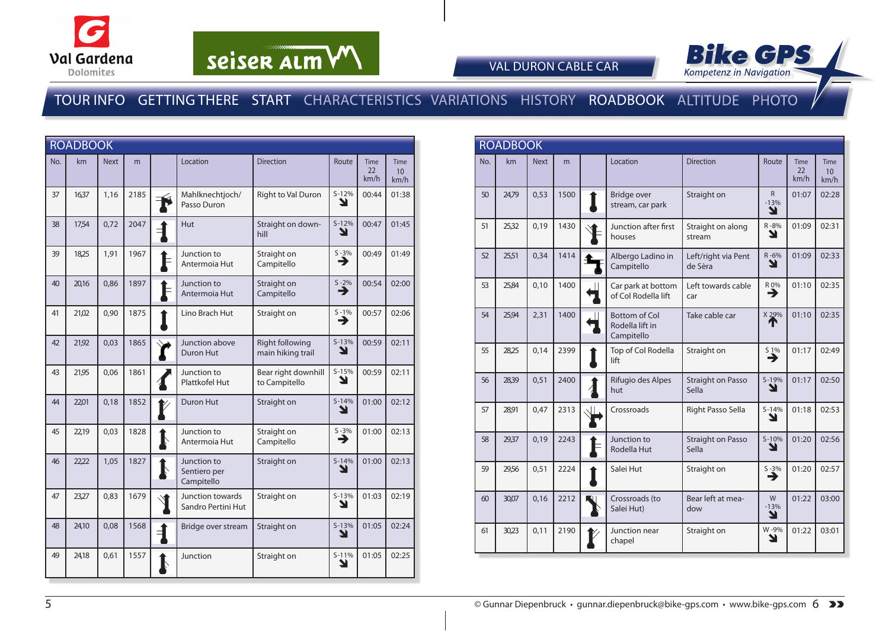



VAL DURON CABLE CAR

### TOUR INFO GETTING THERE START CHARACTERISTICS VARIATIONS HISTORY ROADBOOK ALTITUDE PHOTO

|     | <b>ROADBOOK</b> |             |      |                       |                                           |                                      |               |                           |                                         |
|-----|-----------------|-------------|------|-----------------------|-------------------------------------------|--------------------------------------|---------------|---------------------------|-----------------------------------------|
| No. | km              | <b>Next</b> | m    |                       | Location                                  | <b>Direction</b>                     | Route         | <b>Time</b><br>22<br>km/h | <b>Time</b><br>10 <sup>10</sup><br>km/h |
| 37  | 16,37           | 1,16        | 2185 |                       | Mahlknechtjoch/<br>Passo Duron            | Right to Val Duron                   | $S-12%$<br>צ  | 00:44                     | 01:38                                   |
| 38  | 17,54           | 0,72        | 2047 | ╡                     | <b>Hut</b>                                | Straight on down-<br>hill            | $S-12%$<br>ע  | 00:47                     | 01:45                                   |
| 39  | 18,25           | 1,91        | 1967 |                       | Junction to<br>Antermoia Hut              | Straight on<br>Campitello            | $S - 3%$<br>→ | 00:49                     | 01:49                                   |
| 40  | 20,16           | 0,86        | 1897 |                       | Junction to<br>Antermoia Hut              | Straight on<br>Campitello            | $S - 2%$<br>Ě | 00:54                     | 02:00                                   |
| 41  | 21,02           | 0,90        | 1875 |                       | Lino Brach Hut                            | Straight on                          | $S - 1%$<br>→ | 00:57                     | 02:06                                   |
| 42  | 21,92           | 0,03        | 1865 |                       | Junction above<br>Duron Hut               | Right following<br>main hiking trail | $S-13%$<br>N  | 00:59                     | 02:11                                   |
| 43  | 21,95           | 0,06        | 1861 |                       | Junction to<br>Plattkofel Hut             | Bear right downhill<br>to Campitello | $S-15%$<br>צ  | 00:59                     | 02:11                                   |
| 44  | 22,01           | 0,18        | 1852 |                       | Duron Hut                                 | Straight on                          | $S-14%$<br>ע  | 01:00                     | 02:12                                   |
| 45  | 22,19           | 0,03        | 1828 |                       | Junction to<br>Antermoia Hut              | Straight on<br>Campitello            | $S - 3%$<br>→ | 01:00                     | 02:13                                   |
| 46  | 22,22           | 1,05        | 1827 | $\blacktriangleright$ | Junction to<br>Sentiero per<br>Campitello | Straight on                          | $S-14%$<br>ע  | 01:00                     | 02:13                                   |
| 47  | 23,27           | 0,83        | 1679 |                       | Junction towards<br>Sandro Pertini Hut    | Straight on                          | $S-13%$<br>Y  | 01:03                     | 02:19                                   |
| 48  | 24,10           | 0,08        | 1568 | ╡                     | Bridge over stream                        | Straight on                          | $S-13%$<br>N  | 01:05                     | 02:24                                   |
| 49  | 24.18           | 0.61        | 1557 |                       | Junction                                  | Straight on                          | $S-11%$<br>ע  | 01:05                     | 02:25                                   |

|     | <b>ROADBOOK</b> |             |      |           |                                                       |                                   |                             |                           |                                        |
|-----|-----------------|-------------|------|-----------|-------------------------------------------------------|-----------------------------------|-----------------------------|---------------------------|----------------------------------------|
| No. | km              | <b>Next</b> | m    |           | Location                                              | <b>Direction</b>                  | Route                       | <b>Time</b><br>22<br>km/h | <b>Time</b><br>10 <sup>°</sup><br>km/h |
| 50  | 24,79           | 0,53        | 1500 |           | Bridge over<br>stream, car park                       | Straight on                       | $\mathsf{R}$<br>$-13%$<br>Y | 01:07                     | 02:28                                  |
| 51  | 25,32           | 0,19        | 1430 |           | Junction after first<br>houses                        | Straight on along<br>stream       | R-8%<br>Y                   | 01:09                     | 02:31                                  |
| 52  | 25,51           | 0,34        | 1414 |           | Albergo Ladino in<br>Campitello                       | Left/right via Pent<br>de Sèra    | R-6%<br>Y                   | 01:09                     | 02:33                                  |
| 53  | 25,84           | 0,10        | 1400 |           | Car park at bottom<br>of Col Rodella lift             | Left towards cable<br>car         | $\overline{P}$              | 01:10                     | 02:35                                  |
| 54  | 25,94           | 2,31        | 1400 |           | <b>Bottom of Col</b><br>Rodella lift in<br>Campitello | Take cable car                    | X 29%<br>Т                  | 01:10                     | 02:35                                  |
| 55  | 28,25           | 0,14        | 2399 |           | Top of Col Rodella<br>lift                            | Straight on                       | S 1%<br>→                   | 01:17                     | 02:49                                  |
| 56  | 28,39           | 0,51        | 2400 | $\lambda$ | Rifugio des Alpes<br>hut                              | <b>Straight on Passo</b><br>Sella | $S-19%$<br>צ                | 01:17                     | 02:50                                  |
| 57  | 28,91           | 0,47        | 2313 |           | Crossroads                                            | Right Passo Sella                 | $S - 14%$<br>N              | 01:18                     | 02:53                                  |
| 58  | 29,37           | 0,19        | 2243 |           | Junction to<br><b>Rodella Hut</b>                     | <b>Straight on Passo</b><br>Sella | $S-10%$<br>N                | 01:20                     | 02:56                                  |
| 59  | 29,56           | 0,51        | 2224 |           | Salei Hut                                             | Straight on                       | $S - 3%$<br>→               | 01:20                     | 02:57                                  |
| 60  | 30,07           | 0,16        | 2212 |           | Crossroads (to<br>Salei Hut)                          | Bear left at mea-<br>dow          | W<br>$-13%$<br>Y            | 01:22                     | 03:00                                  |
| 61  | 30,23           | 0,11        | 2190 |           | Junction near<br>chapel                               | Straight on                       | W-9%<br>Y                   | 01:22                     | 03:01                                  |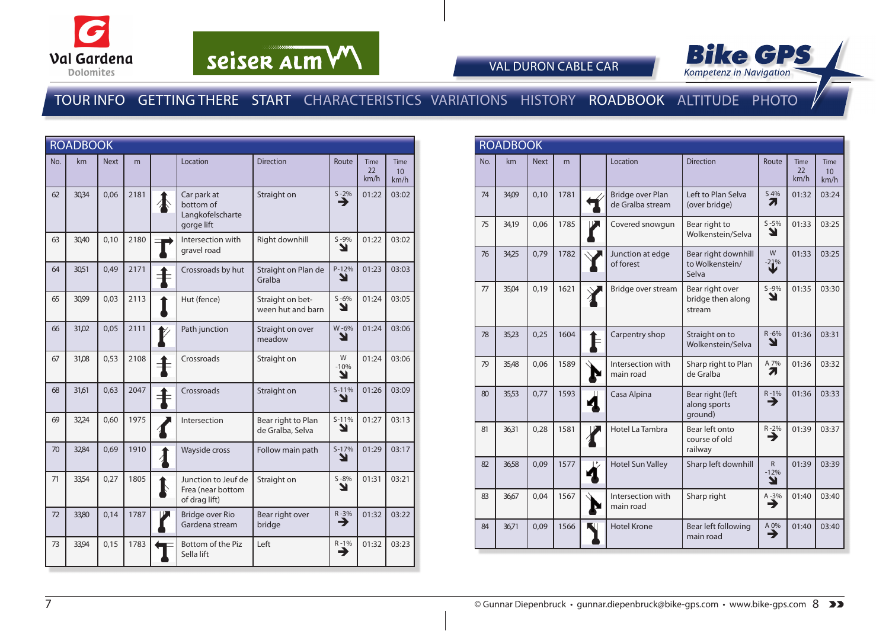



VAL DURON CABLE CAR

### TOUR INFO GETTING THERE START CHARACTERISTICS VARIATIONS HISTORY ROADBOOK ALTITUDE PHOTO

| <b>ROADBOOK</b> |       |             |      |                  |                                                            |                                        |                  |                    |                           |
|-----------------|-------|-------------|------|------------------|------------------------------------------------------------|----------------------------------------|------------------|--------------------|---------------------------|
| No.             | km    | <b>Next</b> | m    |                  | Location                                                   | <b>Direction</b>                       | Route            | Time<br>22<br>km/h | <b>Time</b><br>10<br>km/h |
| 62              | 30,34 | 0,06        | 2181 |                  | Car park at<br>bottom of<br>Langkofelscharte<br>gorge lift | Straight on                            | $S - 2%$<br>→    | 01:22              | 03:02                     |
| 63              | 30,40 | 0,10        | 2180 |                  | Intersection with<br>gravel road                           | Right downhill                         | $S - 9%$<br>Y    | 01:22              | 03:02                     |
| 64              | 30,51 | 0,49        | 2171 | ╡                | Crossroads by hut                                          | Straight on Plan de<br>Gralba          | P-12%<br>Y       | 01:23              | 03:03                     |
| 65              | 30,99 | 0,03        | 2113 |                  | Hut (fence)                                                | Straight on bet-<br>ween hut and barn  | $S - 6%$<br>Y    | 01:24              | 03:05                     |
| 66              | 31,02 | 0,05        | 2111 |                  | Path junction                                              | Straight on over<br>meadow             | W-6%<br>Y        | 01:24              | 03:06                     |
| 67              | 31,08 | 0,53        | 2108 | 主                | Crossroads                                                 | Straight on                            | W<br>$-10%$<br>Y | 01:24              | 03:06                     |
| 68              | 31,61 | 0,63        | 2047 | $\ddagger$       | Crossroads                                                 | Straight on                            | $S-11%$<br>Y     | 01:26              | 03:09                     |
| 69              | 32,24 | 0,60        | 1975 |                  | Intersection                                               | Bear right to Plan<br>de Gralba, Selva | $S-11%$<br>Ł     | 01:27              | 03:13                     |
| 70              | 32,84 | 0,69        | 1910 | $\boldsymbol{l}$ | Wayside cross                                              | Follow main path                       | $S-17%$<br>N     | 01:29              | 03:17                     |
| 71              | 33,54 | 0,27        | 1805 | ļ                | Junction to Jeuf de<br>Frea (near bottom<br>of drag lift)  | Straight on                            | $S - 8%$<br>Y    | 01:31              | 03:21                     |
| 72              | 33,80 | 0,14        | 1787 |                  | <b>Bridge over Rio</b><br>Gardena stream                   | Bear right over<br>bridge              | $R - 3%$<br>→    | 01:32              | 03:22                     |
| 73              | 33,94 | 0,15        | 1783 |                  | Bottom of the Piz<br>Sella lift                            | Left                                   | $R - 1%$<br>∍    | 01:32              | 03:23                     |

| <b>ROADBOOK</b> |       |             |      |  |                                      |                                                 |                             |                           |                                        |
|-----------------|-------|-------------|------|--|--------------------------------------|-------------------------------------------------|-----------------------------|---------------------------|----------------------------------------|
| No.             | km    | <b>Next</b> | m    |  | Location                             | <b>Direction</b>                                | Route                       | <b>Time</b><br>22<br>km/h | <b>Time</b><br>10 <sup>1</sup><br>km/h |
| 74              | 34,09 | 0,10        | 1781 |  | Bridge over Plan<br>de Gralba stream | Left to Plan Selva<br>(over bridge)             | S 4%<br>Л                   | 01:32                     | 03:24                                  |
| 75              | 34,19 | 0,06        | 1785 |  | Covered snowgun                      | Bear right to<br>Wolkenstein/Selva              | $S - 5%$<br>Y               | 01:33                     | 03:25                                  |
| 76              | 34,25 | 0,79        | 1782 |  | Junction at edge<br>of forest        | Bear right downhill<br>to Wolkenstein/<br>Selva | W<br>$-21%$                 | 01:33                     | 03:25                                  |
| 77              | 35,04 | 0,19        | 1621 |  | Bridge over stream                   | Bear right over<br>bridge then along<br>stream  | $S - 9%$<br>↘               | 01:35                     | 03:30                                  |
| 78              | 35,23 | 0,25        | 1604 |  | Carpentry shop                       | Straight on to<br>Wolkenstein/Selva             | $R - 6%$<br>Υ               | 01:36                     | 03:31                                  |
| 79              | 35,48 | 0,06        | 1589 |  | Intersection with<br>main road       | Sharp right to Plan<br>de Gralba                | A 7%<br>71                  | 01:36                     | 03:32                                  |
| 80              | 35,53 | 0,77        | 1593 |  | Casa Alpina                          | Bear right (left<br>along sports<br>ground)     | $R-1%$                      | 01:36                     | 03:33                                  |
| 81              | 36,31 | 0,28        | 1581 |  | Hotel La Tambra                      | Bear left onto<br>course of old<br>railway      | $R - 2%$<br>→               | 01:39                     | 03:37                                  |
| 82              | 36.58 | 0.09        | 1577 |  | <b>Hotel Sun Valley</b>              | Sharp left downhill                             | $\mathsf{R}$<br>$-12%$<br>Y | 01:39                     | 03:39                                  |
| 83              | 36,67 | 0,04        | 1567 |  | Intersection with<br>main road       | Sharp right                                     | $A - 3\%$                   | 01:40                     | 03:40                                  |
| 84              | 36.71 | 0,09        | 1566 |  | <b>Hotel Krone</b>                   | Bear left following<br>main road                | $A \underline{0}\%$<br>→    | 01:40                     | 03:40                                  |